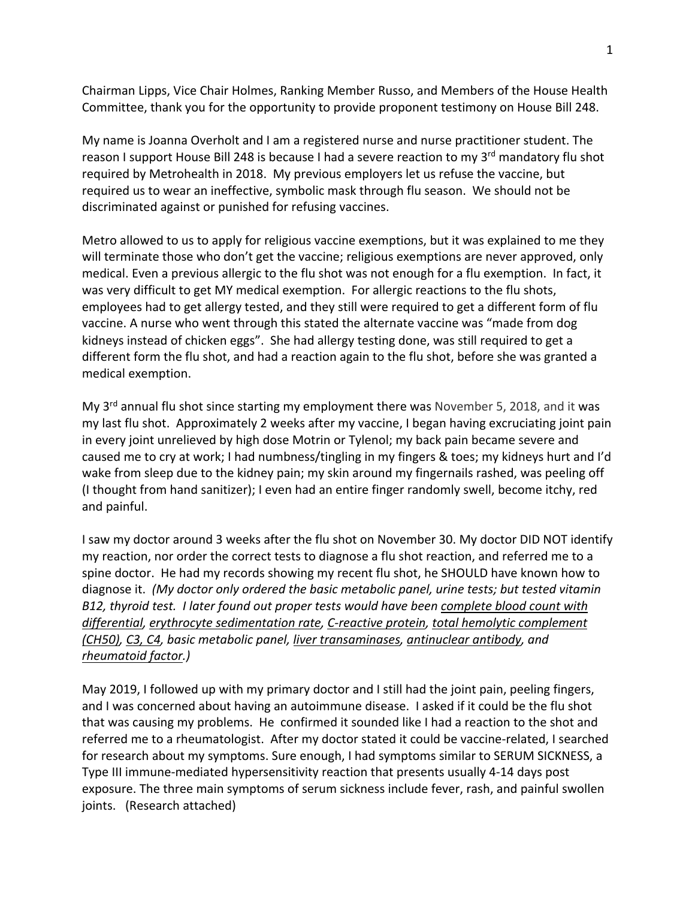Chairman Lipps, Vice Chair Holmes, Ranking Member Russo, and Members of the House Health Committee, thank you for the opportunity to provide proponent testimony on House Bill 248.

My name is Joanna Overholt and I am a registered nurse and nurse practitioner student. The reason I support House Bill 248 is because I had a severe reaction to my 3<sup>rd</sup> mandatory flu shot required by Metrohealth in 2018. My previous employers let us refuse the vaccine, but required us to wear an ineffective, symbolic mask through flu season. We should not be discriminated against or punished for refusing vaccines.

Metro allowed to us to apply for religious vaccine exemptions, but it was explained to me they will terminate those who don't get the vaccine; religious exemptions are never approved, only medical. Even a previous allergic to the flu shot was not enough for a flu exemption. In fact, it was very difficult to get MY medical exemption. For allergic reactions to the flu shots, employees had to get allergy tested, and they still were required to get a different form of flu vaccine. A nurse who went through this stated the alternate vaccine was "made from dog kidneys instead of chicken eggs". She had allergy testing done, was still required to get a different form the flu shot, and had a reaction again to the flu shot, before she was granted a medical exemption.

My 3<sup>rd</sup> annual flu shot since starting my employment there was November 5, 2018, and it was my last flu shot. Approximately 2 weeks after my vaccine, I began having excruciating joint pain in every joint unrelieved by high dose Motrin or Tylenol; my back pain became severe and caused me to cry at work; I had numbness/tingling in my fingers & toes; my kidneys hurt and I'd wake from sleep due to the kidney pain; my skin around my fingernails rashed, was peeling off (I thought from hand sanitizer); I even had an entire finger randomly swell, become itchy, red and painful.

I saw my doctor around 3 weeks after the flu shot on November 30. My doctor DID NOT identify my reaction, nor order the correct tests to diagnose a flu shot reaction, and referred me to a spine doctor. He had my records showing my recent flu shot, he SHOULD have known how to diagnose it. *(My doctor only ordered the basic metabolic panel, urine tests; but tested vitamin B12, thyroid test. I later found out proper tests would have been complete blood count with differential, erythrocyte sedimentation rate, C-reactive protein, total hemolytic complement (CH50), C3, C4, basic metabolic panel, liver transaminases, antinuclear antibody, and rheumatoid factor.)*

May 2019, I followed up with my primary doctor and I still had the joint pain, peeling fingers, and I was concerned about having an autoimmune disease. I asked if it could be the flu shot that was causing my problems. He confirmed it sounded like I had a reaction to the shot and referred me to a rheumatologist. After my doctor stated it could be vaccine-related, I searched for research about my symptoms. Sure enough, I had symptoms similar to SERUM SICKNESS, a Type III immune-mediated hypersensitivity reaction that presents usually 4-14 days post exposure. The three main symptoms of serum sickness include fever, rash, and painful swollen joints. (Research attached)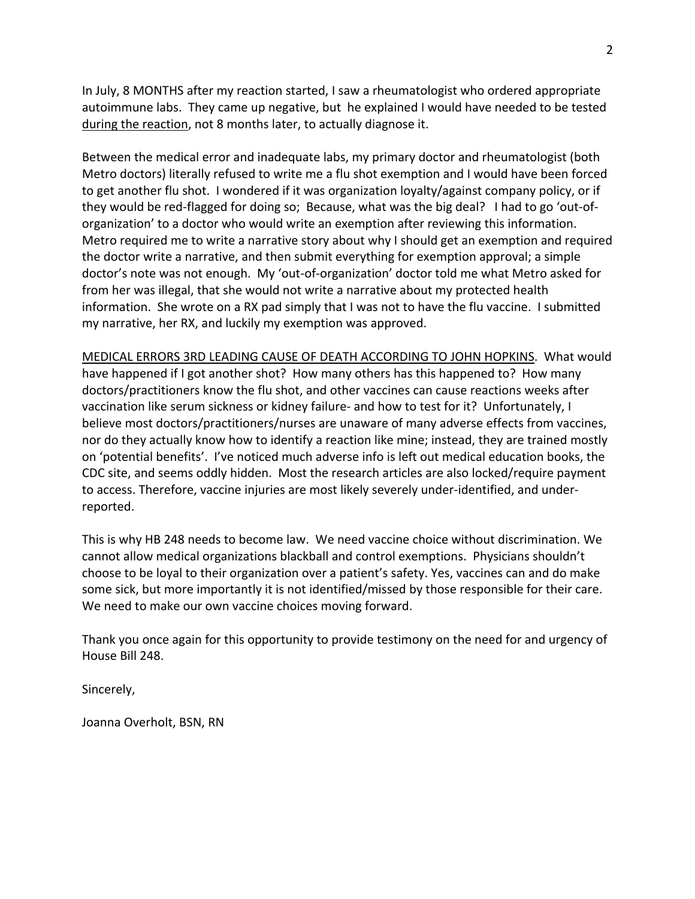In July, 8 MONTHS after my reaction started, I saw a rheumatologist who ordered appropriate autoimmune labs. They came up negative, but he explained I would have needed to be tested during the reaction, not 8 months later, to actually diagnose it.

Between the medical error and inadequate labs, my primary doctor and rheumatologist (both Metro doctors) literally refused to write me a flu shot exemption and I would have been forced to get another flu shot. I wondered if it was organization loyalty/against company policy, or if they would be red-flagged for doing so; Because, what was the big deal? I had to go 'out-oforganization' to a doctor who would write an exemption after reviewing this information. Metro required me to write a narrative story about why I should get an exemption and required the doctor write a narrative, and then submit everything for exemption approval; a simple doctor's note was not enough. My 'out-of-organization' doctor told me what Metro asked for from her was illegal, that she would not write a narrative about my protected health information. She wrote on a RX pad simply that I was not to have the flu vaccine. I submitted my narrative, her RX, and luckily my exemption was approved.

MEDICAL ERRORS 3RD LEADING CAUSE OF DEATH ACCORDING TO JOHN HOPKINS. What would have happened if I got another shot? How many others has this happened to? How many doctors/practitioners know the flu shot, and other vaccines can cause reactions weeks after vaccination like serum sickness or kidney failure- and how to test for it? Unfortunately, I believe most doctors/practitioners/nurses are unaware of many adverse effects from vaccines, nor do they actually know how to identify a reaction like mine; instead, they are trained mostly on 'potential benefits'. I've noticed much adverse info is left out medical education books, the CDC site, and seems oddly hidden. Most the research articles are also locked/require payment to access. Therefore, vaccine injuries are most likely severely under-identified, and underreported.

This is why HB 248 needs to become law. We need vaccine choice without discrimination. We cannot allow medical organizations blackball and control exemptions. Physicians shouldn't choose to be loyal to their organization over a patient's safety. Yes, vaccines can and do make some sick, but more importantly it is not identified/missed by those responsible for their care. We need to make our own vaccine choices moving forward.

Thank you once again for this opportunity to provide testimony on the need for and urgency of House Bill 248.

Sincerely,

Joanna Overholt, BSN, RN